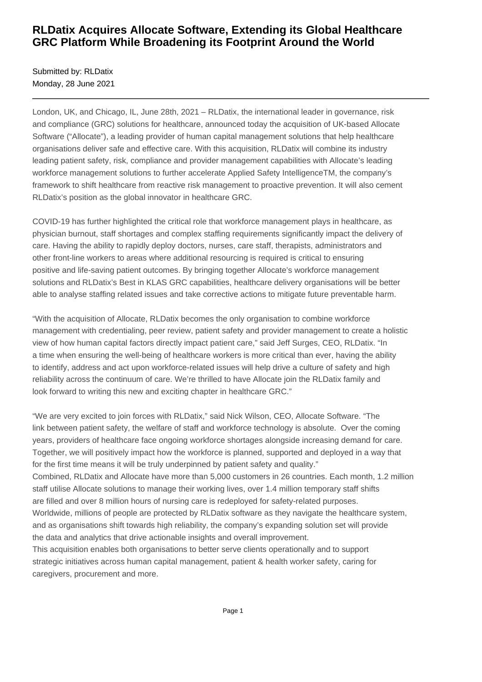## **RLDatix Acquires Allocate Software, Extending its Global Healthcare GRC Platform While Broadening its Footprint Around the World**

Submitted by: RLDatix Monday, 28 June 2021

London, UK, and Chicago, IL, June 28th, 2021 – RLDatix, the international leader in governance, risk and compliance (GRC) solutions for healthcare, announced today the acquisition of UK-based Allocate Software ("Allocate"), a leading provider of human capital management solutions that help healthcare organisations deliver safe and effective care. With this acquisition, RLDatix will combine its industry leading patient safety, risk, compliance and provider management capabilities with Allocate's leading workforce management solutions to further accelerate Applied Safety IntelligenceTM, the company's framework to shift healthcare from reactive risk management to proactive prevention. It will also cement RLDatix's position as the global innovator in healthcare GRC.

COVID-19 has further highlighted the critical role that workforce management plays in healthcare, as physician burnout, staff shortages and complex staffing requirements significantly impact the delivery of care. Having the ability to rapidly deploy doctors, nurses, care staff, therapists, administrators and other front-line workers to areas where additional resourcing is required is critical to ensuring positive and life-saving patient outcomes. By bringing together Allocate's workforce management solutions and RLDatix's Best in KLAS GRC capabilities, healthcare delivery organisations will be better able to analyse staffing related issues and take corrective actions to mitigate future preventable harm.

"With the acquisition of Allocate, RLDatix becomes the only organisation to combine workforce management with credentialing, peer review, patient safety and provider management to create a holistic view of how human capital factors directly impact patient care," said Jeff Surges, CEO, RLDatix. "In a time when ensuring the well-being of healthcare workers is more critical than ever, having the ability to identify, address and act upon workforce-related issues will help drive a culture of safety and high reliability across the continuum of care. We're thrilled to have Allocate join the RLDatix family and look forward to writing this new and exciting chapter in healthcare GRC."

"We are very excited to join forces with RLDatix," said Nick Wilson, CEO, Allocate Software. "The link between patient safety, the welfare of staff and workforce technology is absolute. Over the coming years, providers of healthcare face ongoing workforce shortages alongside increasing demand for care. Together, we will positively impact how the workforce is planned, supported and deployed in a way that for the first time means it will be truly underpinned by patient safety and quality." Combined, RLDatix and Allocate have more than 5,000 customers in 26 countries. Each month, 1.2 million staff utilise Allocate solutions to manage their working lives, over 1.4 million temporary staff shifts are filled and over 8 million hours of nursing care is redeployed for safety-related purposes. Worldwide, millions of people are protected by RLDatix software as they navigate the healthcare system, and as organisations shift towards high reliability, the company's expanding solution set will provide the data and analytics that drive actionable insights and overall improvement.

This acquisition enables both organisations to better serve clients operationally and to support strategic initiatives across human capital management, patient & health worker safety, caring for caregivers, procurement and more.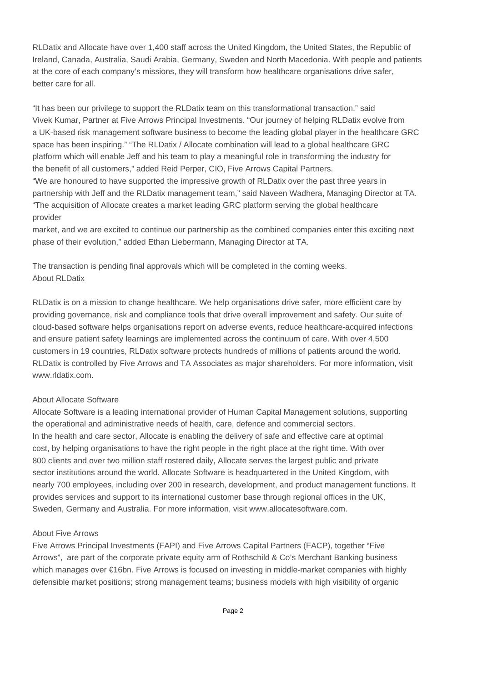RLDatix and Allocate have over 1,400 staff across the United Kingdom, the United States, the Republic of Ireland, Canada, Australia, Saudi Arabia, Germany, Sweden and North Macedonia. With people and patients at the core of each company's missions, they will transform how healthcare organisations drive safer, better care for all.

"It has been our privilege to support the RLDatix team on this transformational transaction," said Vivek Kumar, Partner at Five Arrows Principal Investments. "Our journey of helping RLDatix evolve from a UK-based risk management software business to become the leading global player in the healthcare GRC space has been inspiring." "The RLDatix / Allocate combination will lead to a global healthcare GRC platform which will enable Jeff and his team to play a meaningful role in transforming the industry for the benefit of all customers," added Reid Perper, CIO, Five Arrows Capital Partners. "We are honoured to have supported the impressive growth of RLDatix over the past three years in partnership with Jeff and the RLDatix management team," said Naveen Wadhera, Managing Director at TA. "The acquisition of Allocate creates a market leading GRC platform serving the global healthcare provider

market, and we are excited to continue our partnership as the combined companies enter this exciting next phase of their evolution," added Ethan Liebermann, Managing Director at TA.

The transaction is pending final approvals which will be completed in the coming weeks. About RLDatix

RLDatix is on a mission to change healthcare. We help organisations drive safer, more efficient care by providing governance, risk and compliance tools that drive overall improvement and safety. Our suite of cloud-based software helps organisations report on adverse events, reduce healthcare-acquired infections and ensure patient safety learnings are implemented across the continuum of care. With over 4,500 customers in 19 countries, RLDatix software protects hundreds of millions of patients around the world. RLDatix is controlled by Five Arrows and TA Associates as major shareholders. For more information, visit www.rldatix.com.

## About Allocate Software

Allocate Software is a leading international provider of Human Capital Management solutions, supporting the operational and administrative needs of health, care, defence and commercial sectors. In the health and care sector, Allocate is enabling the delivery of safe and effective care at optimal cost, by helping organisations to have the right people in the right place at the right time. With over 800 clients and over two million staff rostered daily, Allocate serves the largest public and private sector institutions around the world. Allocate Software is headquartered in the United Kingdom, with nearly 700 employees, including over 200 in research, development, and product management functions. It provides services and support to its international customer base through regional offices in the UK, Sweden, Germany and Australia. For more information, visit www.allocatesoftware.com.

## About Five Arrows

Five Arrows Principal Investments (FAPI) and Five Arrows Capital Partners (FACP), together "Five Arrows", are part of the corporate private equity arm of Rothschild & Co's Merchant Banking business which manages over €16bn. Five Arrows is focused on investing in middle-market companies with highly defensible market positions; strong management teams; business models with high visibility of organic